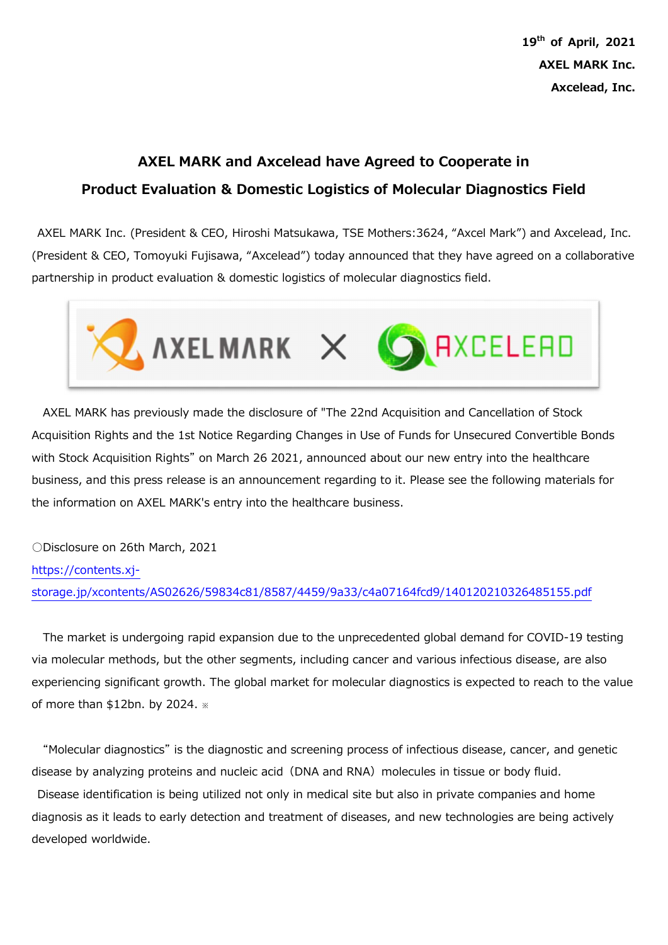$19<sup>th</sup>$  of April, 2021 AXEL MARK Inc. Axcelead, Inc.

## AXEL MARK and Axcelead have Agreed to Cooperate in Product Evaluation & Domestic Logistics of Molecular Diagnostics Field

AXEL MARK Inc. (President & CEO, Hiroshi Matsukawa, TSE Mothers:3624, "Axcel Mark") and Axcelead, Inc. (President & CEO, Tomoyuki Fujisawa, "Axcelead") today announced that they have agreed on a collaborative partnership in product evaluation & domestic logistics of molecular diagnostics field.



AXEL MARK has previously made the disclosure of "The 22nd Acquisition and Cancellation of Stock Acquisition Rights and the 1st Notice Regarding Changes in Use of Funds for Unsecured Convertible Bonds with Stock Acquisition Rights" on March 26 2021, announced about our new entry into the healthcare business, and this press release is an announcement regarding to it. Please see the following materials for the information on AXEL MARK's entry into the healthcare business.

○Disclosure on 26th March, 2021 https://contents.xjstorage.jp/xcontents/AS02626/59834c81/8587/4459/9a33/c4a07164fcd9/140120210326485155.pdf

The market is undergoing rapid expansion due to the unprecedented global demand for COVID-19 testing via molecular methods, but the other segments, including cancer and various infectious disease, are also experiencing significant growth. The global market for molecular diagnostics is expected to reach to the value of more than \$12bn. by 2024. ※

"Molecular diagnostics" is the diagnostic and screening process of infectious disease, cancer, and genetic disease by analyzing proteins and nucleic acid (DNA and RNA) molecules in tissue or body fluid. Disease identification is being utilized not only in medical site but also in private companies and home diagnosis as it leads to early detection and treatment of diseases, and new technologies are being actively

developed worldwide.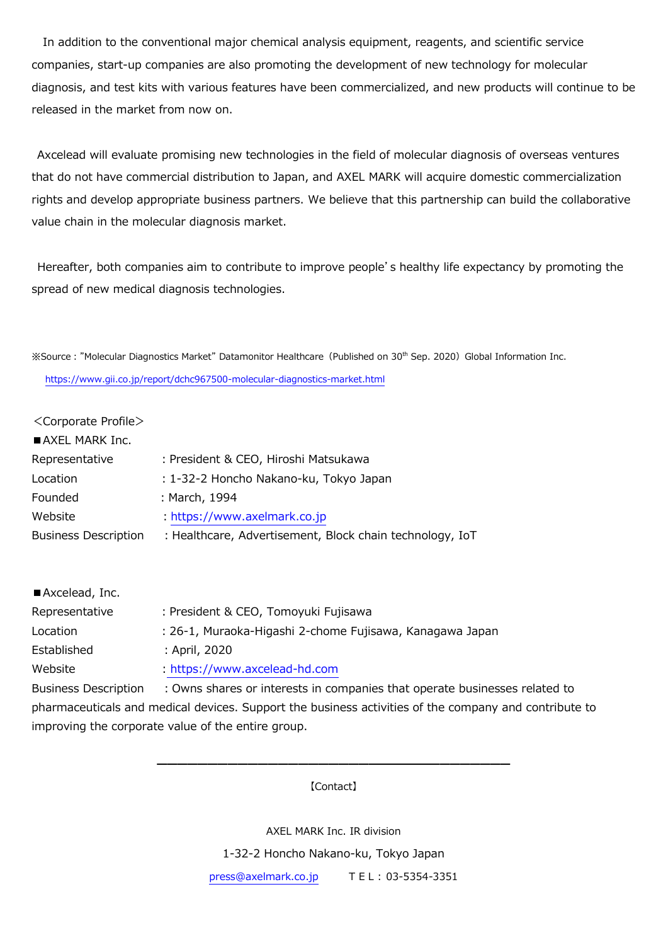In addition to the conventional major chemical analysis equipment, reagents, and scientific service companies, start-up companies are also promoting the development of new technology for molecular diagnosis, and test kits with various features have been commercialized, and new products will continue to be released in the market from now on.

 Axcelead will evaluate promising new technologies in the field of molecular diagnosis of overseas ventures that do not have commercial distribution to Japan, and AXEL MARK will acquire domestic commercialization rights and develop appropriate business partners. We believe that this partnership can build the collaborative value chain in the molecular diagnosis market.

Hereafter, both companies aim to contribute to improve people's healthy life expectancy by promoting the spread of new medical diagnosis technologies.

**※Source: "Molecular Diagnostics Market" Datamonitor Healthcare (Published on 30<sup>th</sup> Sep. 2020) Global Information Inc.** https://www.gii.co.jp/report/dchc967500-molecular-diagnostics-market.html

<Corporate Profile>

| AXEL MARK Inc.              |                                                          |
|-----------------------------|----------------------------------------------------------|
| Representative              | : President & CEO, Hiroshi Matsukawa                     |
| Location                    | : 1-32-2 Honcho Nakano-ku, Tokyo Japan                   |
| Founded                     | : March, 1994                                            |
| Website                     | : https://www.axelmark.co.jp                             |
| <b>Business Description</b> | : Healthcare, Advertisement, Block chain technology, IoT |
|                             |                                                          |

| Axcelead, Inc.              |                                                                                                     |
|-----------------------------|-----------------------------------------------------------------------------------------------------|
| Representative              | : President & CEO, Tomoyuki Fujisawa                                                                |
| Location                    | : 26-1, Muraoka-Higashi 2-chome Fujisawa, Kanagawa Japan                                            |
| Established                 | : April, 2020                                                                                       |
| Website                     | : https://www.axcelead-hd.com                                                                       |
| <b>Business Description</b> | : Owns shares or interests in companies that operate businesses related to                          |
|                             | e hayaaqaaytiga laga madigal dowlaas. Cunnayt tha buqinaas astiyitiga ef tha campany and santyibuty |

pharmaceuticals and medical devices. Support the business activities of the company and contribute to improving the corporate value of the entire group.

> ━━━━━━━━━━━━━━━━━━━━━━━━━━━━━━━━━━━ 【Contact】

> > AXEL MARK Inc. IR division

1-32-2 Honcho Nakano-ku, Tokyo Japan

press@axelmark.co.jp T E L : 03-5354-3351